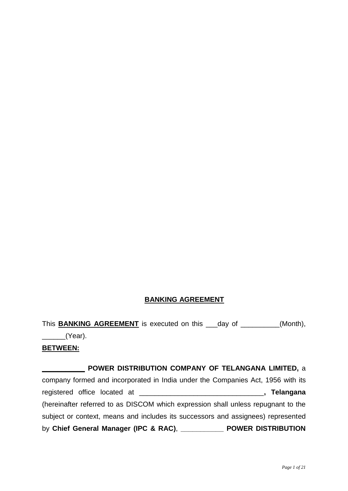## **BANKING AGREEMENT**

This **BANKING AGREEMENT** is executed on this \_\_\_day of \_\_\_\_\_\_\_\_\_\_(Month),  $\angle$ (Year).

#### **BETWEEN:**

## **\_\_\_\_\_\_\_\_\_\_\_ POWER DISTRIBUTION COMPANY OF TELANGANA LIMITED,** a

company formed and incorporated in India under the Companies Act, 1956 with its registered office located at \_\_\_\_\_\_\_\_\_\_\_\_\_\_\_\_\_\_\_\_\_\_\_\_\_\_\_\_\_\_\_\_**, Telangana** (hereinafter referred to as DISCOM which expression shall unless repugnant to the subject or context, means and includes its successors and assignees) represented by **Chief General Manager (IPC & RAC)**, **\_\_\_\_\_\_\_\_\_\_\_ POWER DISTRIBUTION**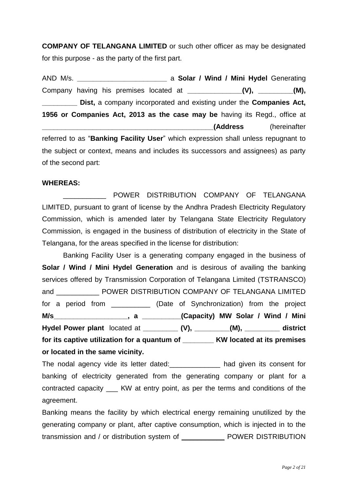**COMPANY OF TELANGANA LIMITED** or such other officer as may be designated for this purpose - as the party of the first part.

AND M/s. **\_\_\_\_\_\_\_\_\_\_\_\_\_\_\_\_\_\_\_\_\_\_\_** a **Solar / Wind / Mini Hydel** Generating Company having his premises located at \_\_\_\_\_\_\_\_\_\_\_\_\_\_(V), \_\_\_\_\_\_\_\_(M), **Dist,** a company incorporated and existing under the **Companies Act, 1956 or Companies Act, 2013 as the case may be** having its Regd., office at **\_\_\_\_\_\_\_\_\_\_\_\_\_\_\_\_\_\_\_\_\_\_\_\_\_\_\_\_\_\_\_\_\_\_\_\_\_\_\_\_\_\_\_\_(Address** (hereinafter referred to as "**Banking Facility User**" which expression shall unless repugnant to the subject or context, means and includes its successors and assignees) as party of the second part:

#### **WHEREAS:**

POWER DISTRIBUTION COMPANY OF TELANGANA LIMITED, pursuant to grant of license by the Andhra Pradesh Electricity Regulatory Commission, which is amended later by Telangana State Electricity Regulatory Commission, is engaged in the business of distribution of electricity in the State of Telangana, for the areas specified in the license for distribution:

Banking Facility User is a generating company engaged in the business of **Solar / Wind / Mini Hydel Generation** and is desirous of availing the banking services offered by Transmission Corporation of Telangana Limited (TSTRANSCO) and \_\_\_\_\_\_\_\_\_\_\_ POWER DISTRIBUTION COMPANY OF TELANGANA LIMITED for a period from \_\_\_\_\_\_\_\_\_\_ (Date of Synchronization) from the project **M/s\_\_\_\_\_\_\_\_\_\_\_\_\_\_\_\_\_\_\_, a \_\_\_\_\_\_\_\_\_\_(Capacity) MW Solar / Wind / Mini Hydel Power plant** located at **\_\_\_\_\_\_\_\_\_ (V), \_\_\_\_\_\_\_\_\_(M), \_\_\_\_\_\_\_\_\_ district for its captive utilization for a quantum of \_\_\_\_\_\_\_\_ KW located at its premises or located in the same vicinity.** 

The nodal agency vide its letter dated:\_\_\_\_\_\_\_\_\_\_\_\_\_ had given its consent for banking of electricity generated from the generating company or plant for a contracted capacity \_\_\_ KW at entry point, as per the terms and conditions of the agreement.

Banking means the facility by which electrical energy remaining unutilized by the generating company or plant, after captive consumption, which is injected in to the transmission and / or distribution system of \_\_\_\_\_\_\_\_\_\_\_ POWER DISTRIBUTION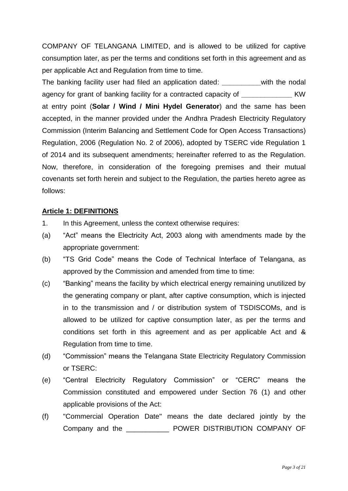COMPANY OF TELANGANA LIMITED, and is allowed to be utilized for captive consumption later, as per the terms and conditions set forth in this agreement and as per applicable Act and Regulation from time to time.

The banking facility user had filed an application dated: **\_\_\_\_\_\_\_\_\_\_**with the nodal agency for grant of banking facility for a contracted capacity of **KW** at entry point (**Solar / Wind / Mini Hydel Generator**) and the same has been accepted, in the manner provided under the Andhra Pradesh Electricity Regulatory Commission (Interim Balancing and Settlement Code for Open Access Transactions) Regulation, 2006 (Regulation No. 2 of 2006), adopted by TSERC vide Regulation 1 of 2014 and its subsequent amendments; hereinafter referred to as the Regulation. Now, therefore, in consideration of the foregoing premises and their mutual covenants set forth herein and subject to the Regulation, the parties hereto agree as follows:

## **Article 1: DEFINITIONS**

- 1. In this Agreement, unless the context otherwise requires:
- (a) "Act" means the Electricity Act, 2003 along with amendments made by the appropriate government:
- (b) "TS Grid Code" means the Code of Technical Interface of Telangana, as approved by the Commission and amended from time to time:
- (c) "Banking" means the facility by which electrical energy remaining unutilized by the generating company or plant, after captive consumption, which is injected in to the transmission and / or distribution system of TSDISCOMs, and is allowed to be utilized for captive consumption later, as per the terms and conditions set forth in this agreement and as per applicable Act and & Regulation from time to time.
- (d) "Commission" means the Telangana State Electricity Regulatory Commission or TSERC:
- (e) "Central Electricity Regulatory Commission" or "CERC" means the Commission constituted and empowered under Section 76 (1) and other applicable provisions of the Act:
- (f) "Commercial Operation Date" means the date declared jointly by the Company and the \_\_\_\_\_\_\_\_\_\_\_ POWER DISTRIBUTION COMPANY OF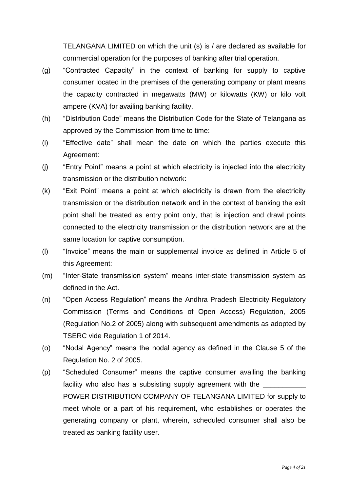TELANGANA LIMITED on which the unit (s) is / are declared as available for commercial operation for the purposes of banking after trial operation.

- (g) "Contracted Capacity" in the context of banking for supply to captive consumer located in the premises of the generating company or plant means the capacity contracted in megawatts (MW) or kilowatts (KW) or kilo volt ampere (KVA) for availing banking facility.
- (h) "Distribution Code" means the Distribution Code for the State of Telangana as approved by the Commission from time to time:
- (i) "Effective date" shall mean the date on which the parties execute this Agreement:
- (j) "Entry Point" means a point at which electricity is injected into the electricity transmission or the distribution network:
- (k) "Exit Point" means a point at which electricity is drawn from the electricity transmission or the distribution network and in the context of banking the exit point shall be treated as entry point only, that is injection and drawl points connected to the electricity transmission or the distribution network are at the same location for captive consumption.
- (l) "Invoice" means the main or supplemental invoice as defined in Article 5 of this Agreement:
- (m) "Inter-State transmission system" means inter-state transmission system as defined in the Act.
- (n) "Open Access Regulation" means the Andhra Pradesh Electricity Regulatory Commission (Terms and Conditions of Open Access) Regulation, 2005 (Regulation No.2 of 2005) along with subsequent amendments as adopted by TSERC vide Regulation 1 of 2014.
- (o) "Nodal Agency" means the nodal agency as defined in the Clause 5 of the Regulation No. 2 of 2005.
- (p) "Scheduled Consumer" means the captive consumer availing the banking facility who also has a subsisting supply agreement with the POWER DISTRIBUTION COMPANY OF TELANGANA LIMITED for supply to meet whole or a part of his requirement, who establishes or operates the generating company or plant, wherein, scheduled consumer shall also be treated as banking facility user.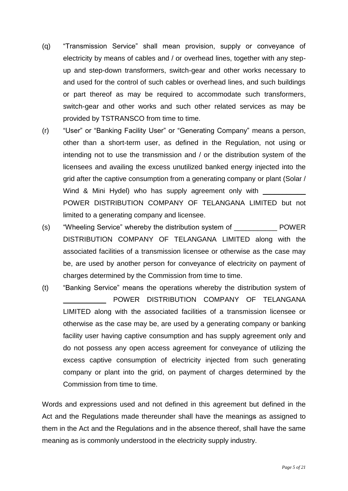- (q) "Transmission Service" shall mean provision, supply or conveyance of electricity by means of cables and / or overhead lines, together with any stepup and step-down transformers, switch-gear and other works necessary to and used for the control of such cables or overhead lines, and such buildings or part thereof as may be required to accommodate such transformers, switch-gear and other works and such other related services as may be provided by TSTRANSCO from time to time.
- (r) "User" or "Banking Facility User" or "Generating Company" means a person, other than a short-term user, as defined in the Regulation, not using or intending not to use the transmission and / or the distribution system of the licensees and availing the excess unutilized banked energy injected into the grid after the captive consumption from a generating company or plant (Solar / Wind & Mini Hydel) who has supply agreement only with POWER DISTRIBUTION COMPANY OF TELANGANA LIMITED but not limited to a generating company and licensee.
- (s) "Wheeling Service" whereby the distribution system of FOWER DISTRIBUTION COMPANY OF TELANGANA LIMITED along with the associated facilities of a transmission licensee or otherwise as the case may be, are used by another person for conveyance of electricity on payment of charges determined by the Commission from time to time.
- (t) "Banking Service" means the operations whereby the distribution system of POWER DISTRIBUTION COMPANY OF TELANGANA LIMITED along with the associated facilities of a transmission licensee or otherwise as the case may be, are used by a generating company or banking facility user having captive consumption and has supply agreement only and do not possess any open access agreement for conveyance of utilizing the excess captive consumption of electricity injected from such generating company or plant into the grid, on payment of charges determined by the Commission from time to time.

Words and expressions used and not defined in this agreement but defined in the Act and the Regulations made thereunder shall have the meanings as assigned to them in the Act and the Regulations and in the absence thereof, shall have the same meaning as is commonly understood in the electricity supply industry.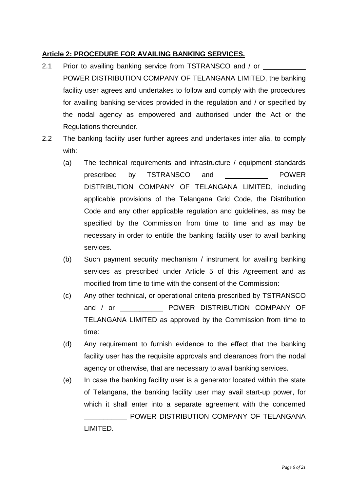## **Article 2: PROCEDURE FOR AVAILING BANKING SERVICES.**

- 2.1 Prior to availing banking service from TSTRANSCO and / or  $\overline{\phantom{a}}$ POWER DISTRIBUTION COMPANY OF TELANGANA LIMITED, the banking facility user agrees and undertakes to follow and comply with the procedures for availing banking services provided in the regulation and / or specified by the nodal agency as empowered and authorised under the Act or the Regulations thereunder.
- 2.2 The banking facility user further agrees and undertakes inter alia, to comply with:
	- (a) The technical requirements and infrastructure / equipment standards prescribed by TSTRANSCO and \_\_\_\_\_\_\_\_\_\_\_ POWER DISTRIBUTION COMPANY OF TELANGANA LIMITED, including applicable provisions of the Telangana Grid Code, the Distribution Code and any other applicable regulation and guidelines, as may be specified by the Commission from time to time and as may be necessary in order to entitle the banking facility user to avail banking services.
	- (b) Such payment security mechanism / instrument for availing banking services as prescribed under Article 5 of this Agreement and as modified from time to time with the consent of the Commission:
	- (c) Any other technical, or operational criteria prescribed by TSTRANSCO and / or \_\_\_\_\_\_\_\_\_\_\_\_\_\_ POWER DISTRIBUTION COMPANY OF TELANGANA LIMITED as approved by the Commission from time to time:
	- (d) Any requirement to furnish evidence to the effect that the banking facility user has the requisite approvals and clearances from the nodal agency or otherwise, that are necessary to avail banking services.
	- (e) In case the banking facility user is a generator located within the state of Telangana, the banking facility user may avail start-up power, for which it shall enter into a separate agreement with the concerned \_\_\_\_\_\_\_\_\_\_\_ POWER DISTRIBUTION COMPANY OF TELANGANA

LIMITED.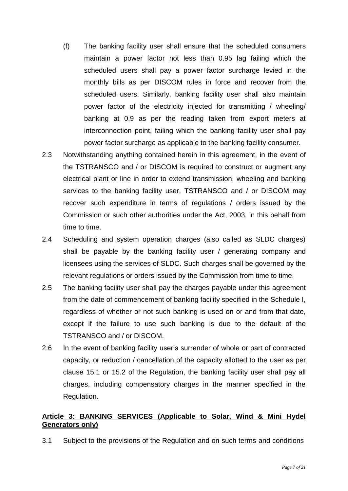- (f) The banking facility user shall ensure that the scheduled consumers maintain a power factor not less than 0.95 lag failing which the scheduled users shall pay a power factor surcharge levied in the monthly bills as per DISCOM rules in force and recover from the scheduled users. Similarly, banking facility user shall also maintain power factor of the electricity injected for transmitting / wheeling/ banking at 0.9 as per the reading taken from export meters at interconnection point, failing which the banking facility user shall pay power factor surcharge as applicable to the banking facility consumer.
- 2.3 Notwithstanding anything contained herein in this agreement, in the event of the TSTRANSCO and / or DISCOM is required to construct or augment any electrical plant or line in order to extend transmission, wheeling and banking services to the banking facility user, TSTRANSCO and / or DISCOM may recover such expenditure in terms of regulations / orders issued by the Commission or such other authorities under the Act, 2003, in this behalf from time to time.
- 2.4 Scheduling and system operation charges (also called as SLDC charges) shall be payable by the banking facility user / generating company and licensees using the services of SLDC. Such charges shall be governed by the relevant regulations or orders issued by the Commission from time to time.
- 2.5 The banking facility user shall pay the charges payable under this agreement from the date of commencement of banking facility specified in the Schedule I, regardless of whether or not such banking is used on or and from that date, except if the failure to use such banking is due to the default of the TSTRANSCO and / or DISCOM.
- 2.6 In the event of banking facility user's surrender of whole or part of contracted capacity, or reduction / cancellation of the capacity allotted to the user as per clause 15.1 or 15.2 of the Regulation, the banking facility user shall pay all charges, including compensatory charges in the manner specified in the Regulation.

## **Article 3: BANKING SERVICES (Applicable to Solar, Wind & Mini Hydel Generators only)**

3.1 Subject to the provisions of the Regulation and on such terms and conditions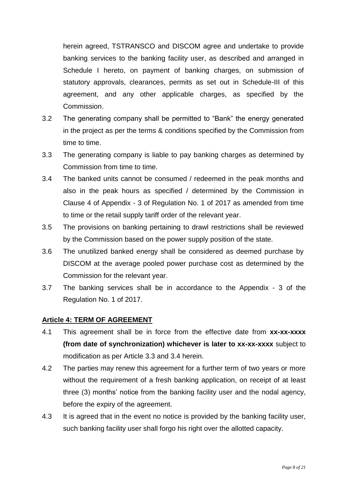herein agreed, TSTRANSCO and DISCOM agree and undertake to provide banking services to the banking facility user, as described and arranged in Schedule I hereto, on payment of banking charges, on submission of statutory approvals, clearances, permits as set out in Schedule-III of this agreement, and any other applicable charges, as specified by the Commission.

- 3.2 The generating company shall be permitted to "Bank" the energy generated in the project as per the terms & conditions specified by the Commission from time to time.
- 3.3 The generating company is liable to pay banking charges as determined by Commission from time to time.
- 3.4 The banked units cannot be consumed / redeemed in the peak months and also in the peak hours as specified / determined by the Commission in Clause 4 of Appendix - 3 of Regulation No. 1 of 2017 as amended from time to time or the retail supply tariff order of the relevant year.
- 3.5 The provisions on banking pertaining to drawl restrictions shall be reviewed by the Commission based on the power supply position of the state.
- 3.6 The unutilized banked energy shall be considered as deemed purchase by DISCOM at the average pooled power purchase cost as determined by the Commission for the relevant year.
- 3.7 The banking services shall be in accordance to the Appendix 3 of the Regulation No. 1 of 2017.

#### **Article 4: TERM OF AGREEMENT**

- 4.1 This agreement shall be in force from the effective date from **xx-xx-xxxx (from date of synchronization) whichever is later to xx-xx-xxxx** subject to modification as per Article 3.3 and 3.4 herein.
- 4.2 The parties may renew this agreement for a further term of two years or more without the requirement of a fresh banking application, on receipt of at least three (3) months' notice from the banking facility user and the nodal agency, before the expiry of the agreement.
- 4.3 It is agreed that in the event no notice is provided by the banking facility user, such banking facility user shall forgo his right over the allotted capacity.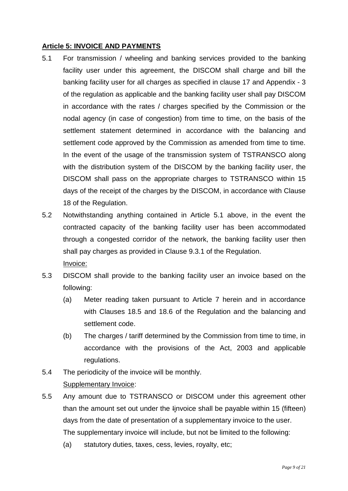## **Article 5: INVOICE AND PAYMENTS**

- 5.1 For transmission / wheeling and banking services provided to the banking facility user under this agreement, the DISCOM shall charge and bill the banking facility user for all charges as specified in clause 17 and Appendix - 3 of the regulation as applicable and the banking facility user shall pay DISCOM in accordance with the rates / charges specified by the Commission or the nodal agency (in case of congestion) from time to time, on the basis of the settlement statement determined in accordance with the balancing and settlement code approved by the Commission as amended from time to time. In the event of the usage of the transmission system of TSTRANSCO along with the distribution system of the DISCOM by the banking facility user, the DISCOM shall pass on the appropriate charges to TSTRANSCO within 15 days of the receipt of the charges by the DISCOM, in accordance with Clause 18 of the Regulation.
- 5.2 Notwithstanding anything contained in Article 5.1 above, in the event the contracted capacity of the banking facility user has been accommodated through a congested corridor of the network, the banking facility user then shall pay charges as provided in Clause 9.3.1 of the Regulation. Invoice:
- 5.3 DISCOM shall provide to the banking facility user an invoice based on the following:
	- (a) Meter reading taken pursuant to Article 7 herein and in accordance with Clauses 18.5 and 18.6 of the Regulation and the balancing and settlement code.
	- (b) The charges / tariff determined by the Commission from time to time, in accordance with the provisions of the Act, 2003 and applicable regulations.
- 5.4 The periodicity of the invoice will be monthly. Supplementary Invoice:
- 5.5 Any amount due to TSTRANSCO or DISCOM under this agreement other than the amount set out under the Iinvoice shall be payable within 15 (fifteen) days from the date of presentation of a supplementary invoice to the user. The supplementary invoice will include, but not be limited to the following:
	- (a) statutory duties, taxes, cess, levies, royalty, etc;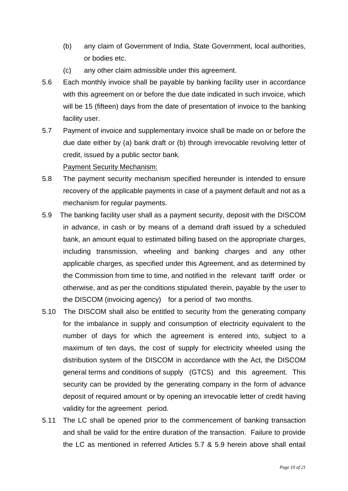- (b) any claim of Government of India, State Government, local authorities, or bodies etc.
- (c) any other claim admissible under this agreement.
- 5.6 Each monthly invoice shall be payable by banking facility user in accordance with this agreement on or before the due date indicated in such invoice, which will be 15 (fifteen) days from the date of presentation of invoice to the banking facility user.
- 5.7 Payment of invoice and supplementary invoice shall be made on or before the due date either by (a) bank draft or (b) through irrevocable revolving letter of credit, issued by a public sector bank. Payment Security Mechanism:
- 5.8 The payment security mechanism specified hereunder is intended to ensure recovery of the applicable payments in case of a payment default and not as a mechanism for regular payments.
- 5.9 The banking facility user shall as a payment security, deposit with the DISCOM in advance, in cash or by means of a demand draft issued by a scheduled bank, an amount equal to estimated billing based on the appropriate charges, including transmission, wheeling and banking charges and any other applicable charges, as specified under this Agreement, and as determined by the Commission from time to time, and notified in the relevant tariff order or otherwise, and as per the conditions stipulated therein, payable by the user to the DISCOM (invoicing agency) for a period of two months.
- 5.10 The DISCOM shall also be entitled to security from the generating company for the imbalance in supply and consumption of electricity equivalent to the number of days for which the agreement is entered into, subject to a maximum of ten days, the cost of supply for electricity wheeled using the distribution system of the DISCOM in accordance with the Act, the DISCOM general terms and conditions of supply (GTCS) and this agreement. This security can be provided by the generating company in the form of advance deposit of required amount or by opening an irrevocable letter of credit having validity for the agreement period.
- 5.11 The LC shall be opened prior to the commencement of banking transaction and shall be valid for the entire duration of the transaction. Failure to provide the LC as mentioned in referred Articles 5.7 & 5.9 herein above shall entail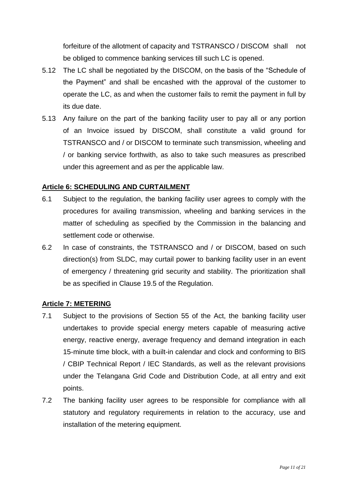forfeiture of the allotment of capacity and TSTRANSCO / DISCOM shall not be obliged to commence banking services till such LC is opened.

- 5.12 The LC shall be negotiated by the DISCOM, on the basis of the "Schedule of the Payment" and shall be encashed with the approval of the customer to operate the LC, as and when the customer fails to remit the payment in full by its due date.
- 5.13 Any failure on the part of the banking facility user to pay all or any portion of an Invoice issued by DISCOM, shall constitute a valid ground for TSTRANSCO and / or DISCOM to terminate such transmission, wheeling and / or banking service forthwith, as also to take such measures as prescribed under this agreement and as per the applicable law.

#### **Article 6: SCHEDULING AND CURTAILMENT**

- 6.1 Subject to the regulation, the banking facility user agrees to comply with the procedures for availing transmission, wheeling and banking services in the matter of scheduling as specified by the Commission in the balancing and settlement code or otherwise.
- 6.2 In case of constraints, the TSTRANSCO and / or DISCOM, based on such direction(s) from SLDC, may curtail power to banking facility user in an event of emergency / threatening grid security and stability. The prioritization shall be as specified in Clause 19.5 of the Regulation.

#### **Article 7: METERING**

- 7.1 Subject to the provisions of Section 55 of the Act, the banking facility user undertakes to provide special energy meters capable of measuring active energy, reactive energy, average frequency and demand integration in each 15-minute time block, with a built-in calendar and clock and conforming to BIS / CBIP Technical Report / IEC Standards, as well as the relevant provisions under the Telangana Grid Code and Distribution Code, at all entry and exit points.
- 7.2 The banking facility user agrees to be responsible for compliance with all statutory and regulatory requirements in relation to the accuracy, use and installation of the metering equipment.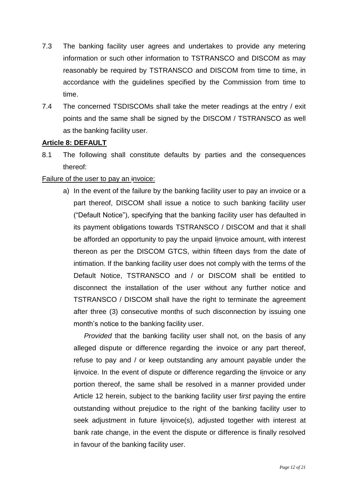- 7.3 The banking facility user agrees and undertakes to provide any metering information or such other information to TSTRANSCO and DISCOM as may reasonably be required by TSTRANSCO and DISCOM from time to time, in accordance with the guidelines specified by the Commission from time to time.
- 7.4 The concerned TSDISCOMs shall take the meter readings at the entry / exit points and the same shall be signed by the DISCOM / TSTRANSCO as well as the banking facility user.

## **Article 8: DEFAULT**

8.1 The following shall constitute defaults by parties and the consequences thereof:

## Failure of the user to pay an invoice:

a) In the event of the failure by the banking facility user to pay an invoice or a part thereof, DISCOM shall issue a notice to such banking facility user ("Default Notice"), specifying that the banking facility user has defaulted in its payment obligations towards TSTRANSCO / DISCOM and that it shall be afforded an opportunity to pay the unpaid Iinvoice amount, with interest thereon as per the DISCOM GTCS, within fifteen days from the date of intimation. If the banking facility user does not comply with the terms of the Default Notice, TSTRANSCO and / or DISCOM shall be entitled to disconnect the installation of the user without any further notice and TSTRANSCO / DISCOM shall have the right to terminate the agreement after three (3) consecutive months of such disconnection by issuing one month's notice to the banking facility user.

*Provided* that the banking facility user shall not, on the basis of any alleged dispute or difference regarding the invoice or any part thereof, refuse to pay and / or keep outstanding any amount payable under the Iinvoice. In the event of dispute or difference regarding the Iinvoice or any portion thereof, the same shall be resolved in a manner provided under Article 12 herein, subject to the banking facility user f*irst* paying the entire outstanding without prejudice to the right of the banking facility user to seek adjustment in future linvoice(s), adjusted together with interest at bank rate change, in the event the dispute or difference is finally resolved in favour of the banking facility user.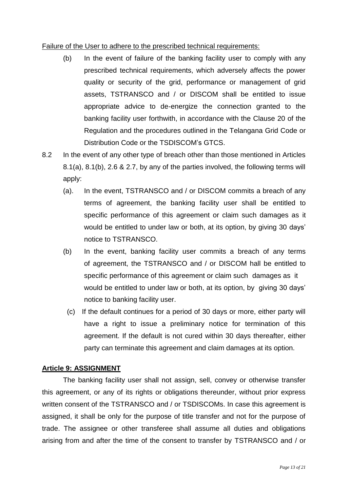#### Failure of the User to adhere to the prescribed technical requirements:

- (b) In the event of failure of the banking facility user to comply with any prescribed technical requirements, which adversely affects the power quality or security of the grid, performance or management of grid assets, TSTRANSCO and / or DISCOM shall be entitled to issue appropriate advice to de-energize the connection granted to the banking facility user forthwith, in accordance with the Clause 20 of the Regulation and the procedures outlined in the Telangana Grid Code or Distribution Code or the TSDISCOM's GTCS.
- 8.2 In the event of any other type of breach other than those mentioned in Articles 8.1(a), 8.1(b), 2.6 & 2.7, by any of the parties involved, the following terms will apply:
	- (a). In the event, TSTRANSCO and / or DISCOM commits a breach of any terms of agreement, the banking facility user shall be entitled to specific performance of this agreement or claim such damages as it would be entitled to under law or both, at its option, by giving 30 days' notice to TSTRANSCO.
	- (b) In the event, banking facility user commits a breach of any terms of agreement, the TSTRANSCO and / or DISCOM hall be entitled to specific performance of this agreement or claim such damages as it would be entitled to under law or both, at its option, by giving 30 days' notice to banking facility user.
		- (c) If the default continues for a period of 30 days or more, either party will have a right to issue a preliminary notice for termination of this agreement. If the default is not cured within 30 days thereafter, either party can terminate this agreement and claim damages at its option.

#### **Article 9: ASSIGNMENT**

The banking facility user shall not assign, sell, convey or otherwise transfer this agreement, or any of its rights or obligations thereunder, without prior express written consent of the TSTRANSCO and / or TSDISCOMs. In case this agreement is assigned, it shall be only for the purpose of title transfer and not for the purpose of trade. The assignee or other transferee shall assume all duties and obligations arising from and after the time of the consent to transfer by TSTRANSCO and / or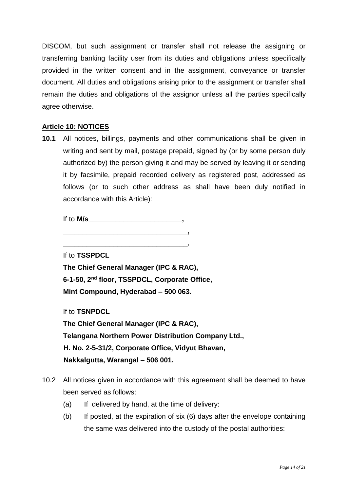DISCOM, but such assignment or transfer shall not release the assigning or transferring banking facility user from its duties and obligations unless specifically provided in the written consent and in the assignment, conveyance or transfer document. All duties and obligations arising prior to the assignment or transfer shall remain the duties and obligations of the assignor unless all the parties specifically agree otherwise.

## **Article 10: NOTICES**

**10.1** All notices, billings, payments and other communications shall be given in writing and sent by mail, postage prepaid, signed by (or by some person duly authorized by) the person giving it and may be served by leaving it or sending it by facsimile, prepaid recorded delivery as registered post, addressed as follows (or to such other address as shall have been duly notified in accordance with this Article):

If to **M/s** \_\_\_\_\_\_\_\_\_\_\_\_\_\_\_\_\_\_\_\_\_\_\_\_\_\_\_\_\_\_\_,

**\_\_\_\_\_\_\_\_\_\_\_\_\_\_\_\_\_\_\_\_\_\_\_\_\_\_\_\_\_\_\_\_,**

**\_\_\_\_\_\_\_\_\_\_\_\_\_\_\_\_\_\_\_\_\_\_\_\_\_\_\_\_\_\_\_\_.**

If to **TSSPDCL**

**The Chief General Manager (IPC & RAC), 6-1-50, 2nd floor, TSSPDCL, Corporate Office, Mint Compound, Hyderabad – 500 063.**

If to **TSNPDCL**

**The Chief General Manager (IPC & RAC), Telangana Northern Power Distribution Company Ltd., H. No. 2-5-31/2, Corporate Office, Vidyut Bhavan, Nakkalgutta, Warangal – 506 001.**

- 10.2 All notices given in accordance with this agreement shall be deemed to have been served as follows:
	- (a) If delivered by hand, at the time of delivery:
	- (b) If posted, at the expiration of six (6) days after the envelope containing the same was delivered into the custody of the postal authorities: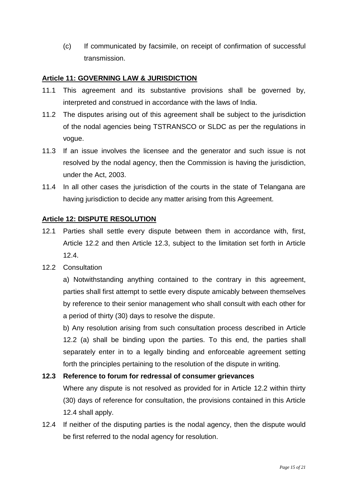(c) If communicated by facsimile, on receipt of confirmation of successful transmission.

#### **Article 11: GOVERNING LAW & JURISDICTION**

- 11.1 This agreement and its substantive provisions shall be governed by, interpreted and construed in accordance with the laws of India.
- 11.2 The disputes arising out of this agreement shall be subject to the jurisdiction of the nodal agencies being TSTRANSCO or SLDC as per the regulations in vogue.
- 11.3 If an issue involves the licensee and the generator and such issue is not resolved by the nodal agency, then the Commission is having the jurisdiction, under the Act, 2003.
- 11.4 In all other cases the jurisdiction of the courts in the state of Telangana are having jurisdiction to decide any matter arising from this Agreement.

## **Article 12: DISPUTE RESOLUTION**

- 12.1 Parties shall settle every dispute between them in accordance with, first, Article 12.2 and then Article 12.3, subject to the limitation set forth in Article 12.4.
- 12.2 Consultation

a) Notwithstanding anything contained to the contrary in this agreement, parties shall first attempt to settle every dispute amicably between themselves by reference to their senior management who shall consult with each other for a period of thirty (30) days to resolve the dispute.

b) Any resolution arising from such consultation process described in Article 12.2 (a) shall be binding upon the parties. To this end, the parties shall separately enter in to a legally binding and enforceable agreement setting forth the principles pertaining to the resolution of the dispute in writing.

#### **12.3 Reference to forum for redressal of consumer grievances**

Where any dispute is not resolved as provided for in Article 12.2 within thirty (30) days of reference for consultation, the provisions contained in this Article 12.4 shall apply.

12.4 If neither of the disputing parties is the nodal agency, then the dispute would be first referred to the nodal agency for resolution.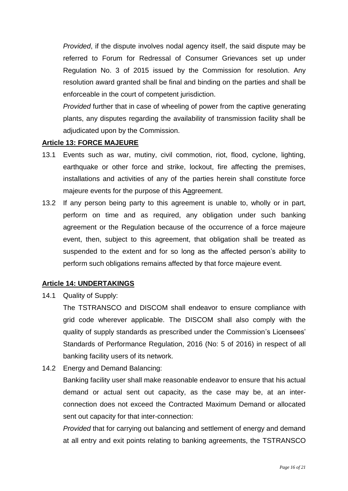*Provided*, if the dispute involves nodal agency itself, the said dispute may be referred to Forum for Redressal of Consumer Grievances set up under Regulation No. 3 of 2015 issued by the Commission for resolution. Any resolution award granted shall be final and binding on the parties and shall be enforceable in the court of competent jurisdiction.

*Provided* further that in case of wheeling of power from the captive generating plants, any disputes regarding the availability of transmission facility shall be adjudicated upon by the Commission.

## **Article 13: FORCE MAJEURE**

- 13.1 Events such as war, mutiny, civil commotion, riot, flood, cyclone, lighting, earthquake or other force and strike, lockout, fire affecting the premises, installations and activities of any of the parties herein shall constitute force majeure events for the purpose of this Aagreement.
- 13.2 If any person being party to this agreement is unable to, wholly or in part, perform on time and as required, any obligation under such banking agreement or the Regulation because of the occurrence of a force majeure event, then, subject to this agreement, that obligation shall be treated as suspended to the extent and for so long as the affected person's ability to perform such obligations remains affected by that force majeure event.

## **Article 14: UNDERTAKINGS**

14.1 Quality of Supply:

The TSTRANSCO and DISCOM shall endeavor to ensure compliance with grid code wherever applicable. The DISCOM shall also comply with the quality of supply standards as prescribed under the Commission's Licensees' Standards of Performance Regulation, 2016 (No: 5 of 2016) in respect of all banking facility users of its network.

14.2 Energy and Demand Balancing:

Banking facility user shall make reasonable endeavor to ensure that his actual demand or actual sent out capacity, as the case may be, at an interconnection does not exceed the Contracted Maximum Demand or allocated sent out capacity for that inter-connection:

*Provided* that for carrying out balancing and settlement of energy and demand at all entry and exit points relating to banking agreements, the TSTRANSCO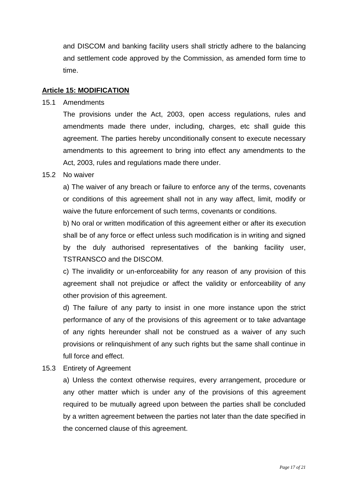and DISCOM and banking facility users shall strictly adhere to the balancing and settlement code approved by the Commission, as amended form time to time.

#### **Article 15: MODIFICATION**

#### 15.1 Amendments

The provisions under the Act, 2003, open access regulations, rules and amendments made there under, including, charges, etc shall guide this agreement. The parties hereby unconditionally consent to execute necessary amendments to this agreement to bring into effect any amendments to the Act, 2003, rules and regulations made there under.

#### 15.2 No waiver

a) The waiver of any breach or failure to enforce any of the terms, covenants or conditions of this agreement shall not in any way affect, limit, modify or waive the future enforcement of such terms, covenants or conditions.

b) No oral or written modification of this agreement either or after its execution shall be of any force or effect unless such modification is in writing and signed by the duly authorised representatives of the banking facility user, TSTRANSCO and the DISCOM.

c) The invalidity or un-enforceability for any reason of any provision of this agreement shall not prejudice or affect the validity or enforceability of any other provision of this agreement.

d) The failure of any party to insist in one more instance upon the strict performance of any of the provisions of this agreement or to take advantage of any rights hereunder shall not be construed as a waiver of any such provisions or relinquishment of any such rights but the same shall continue in full force and effect.

15.3 Entirety of Agreement

a) Unless the context otherwise requires, every arrangement, procedure or any other matter which is under any of the provisions of this agreement required to be mutually agreed upon between the parties shall be concluded by a written agreement between the parties not later than the date specified in the concerned clause of this agreement.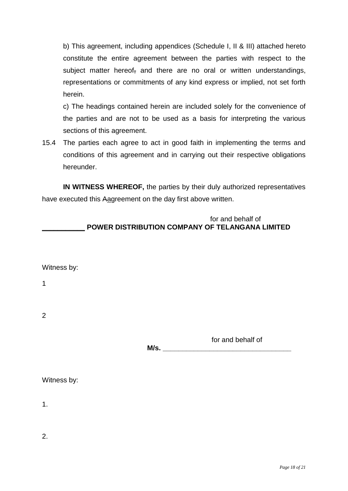b) This agreement, including appendices (Schedule I, II & III) attached hereto constitute the entire agreement between the parties with respect to the subject matter hereof, and there are no oral or written understandings, representations or commitments of any kind express or implied, not set forth herein.

c) The headings contained herein are included solely for the convenience of the parties and are not to be used as a basis for interpreting the various sections of this agreement.

15.4 The parties each agree to act in good faith in implementing the terms and conditions of this agreement and in carrying out their respective obligations hereunder.

**IN WITNESS WHEREOF,** the parties by their duly authorized representatives have executed this Aagreement on the day first above written.

**M/s. \_\_\_\_\_\_\_\_\_\_\_\_\_\_\_\_\_\_\_\_\_\_\_\_\_\_\_\_\_\_\_\_\_**

| for and behalf of                                      |
|--------------------------------------------------------|
| <b>POWER DISTRIBUTION COMPANY OF TELANGANA LIMITED</b> |

1

2

for and behalf of

| Witness by: |  |
|-------------|--|
|-------------|--|

1.

2.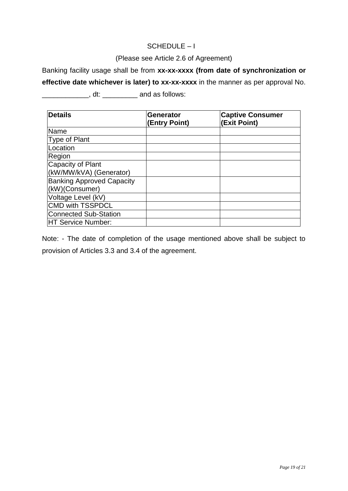## SCHEDULE – I

## (Please see Article 2.6 of Agreement)

Banking facility usage shall be from **xx-xx-xxxx (from date of synchronization or** 

**effective date whichever is later) to xx-xx-xxxx** in the manner as per approval No.

\_\_\_\_\_\_\_\_\_\_\_\_, dt: \_\_\_\_\_\_\_\_\_ and as follows:

| <b>Details</b>                   | <b>Generator</b><br>(Entry Point) | <b>Captive Consumer</b><br>(Exit Point) |
|----------------------------------|-----------------------------------|-----------------------------------------|
| Name                             |                                   |                                         |
| Type of Plant                    |                                   |                                         |
| Location                         |                                   |                                         |
| Region                           |                                   |                                         |
| Capacity of Plant                |                                   |                                         |
| (kW/MW/kVA) (Generator)          |                                   |                                         |
| <b>Banking Approved Capacity</b> |                                   |                                         |
| (kW)(Consumer)                   |                                   |                                         |
| Voltage Level (kV)               |                                   |                                         |
| <b>CMD with TSSPDCL</b>          |                                   |                                         |
| Connected Sub-Station            |                                   |                                         |
| HT Service Number:               |                                   |                                         |

Note: - The date of completion of the usage mentioned above shall be subject to provision of Articles 3.3 and 3.4 of the agreement.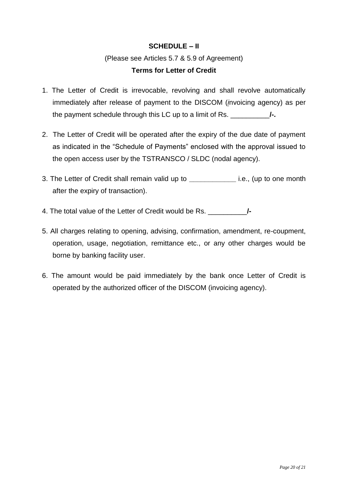## **SCHEDULE – II**

# (Please see Articles 5.7 & 5.9 of Agreement) **Terms for Letter of Credit**

- 1. The Letter of Credit is irrevocable, revolving and shall revolve automatically immediately after release of payment to the DISCOM (*i*nvoicing agency) as per the payment schedule through this LC up to a limit of Rs. \_\_\_\_\_\_\_\_\_\_**/-.**
- 2. The Letter of Credit will be operated after the expiry of the due date of payment as indicated in the "Schedule of Payments" enclosed with the approval issued to the open access user by the TSTRANSCO / SLDC (nodal agency).
- 3. The Letter of Credit shall remain valid up to **\_\_\_\_\_\_\_\_\_\_\_\_** i.e., (up to one month after the expiry of transaction).
- 4. The total value of the Letter of Credit would be Rs. \_\_\_\_\_\_\_\_\_\_**/-**
- 5. All charges relating to opening, advising, confirmation, amendment, re-coupment, operation, usage, negotiation, remittance etc., or any other charges would be borne by banking facility user.
- 6. The amount would be paid immediately by the bank once Letter of Credit is operated by the authorized officer of the DISCOM (invoicing agency).